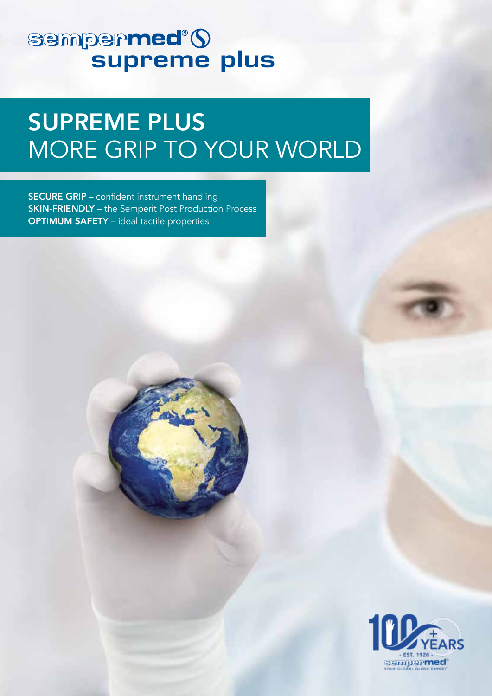# sempermed<sup>®</sup>()<br>supreme plus

## SUPREME PLUS MORE GRIP TO YOUR WORLD

SECURE GRIP – confident instrument handling **SKIN-FRIENDLY** – the Semperit Post Production Process OPTIMUM SAFETY – ideal tactile properties